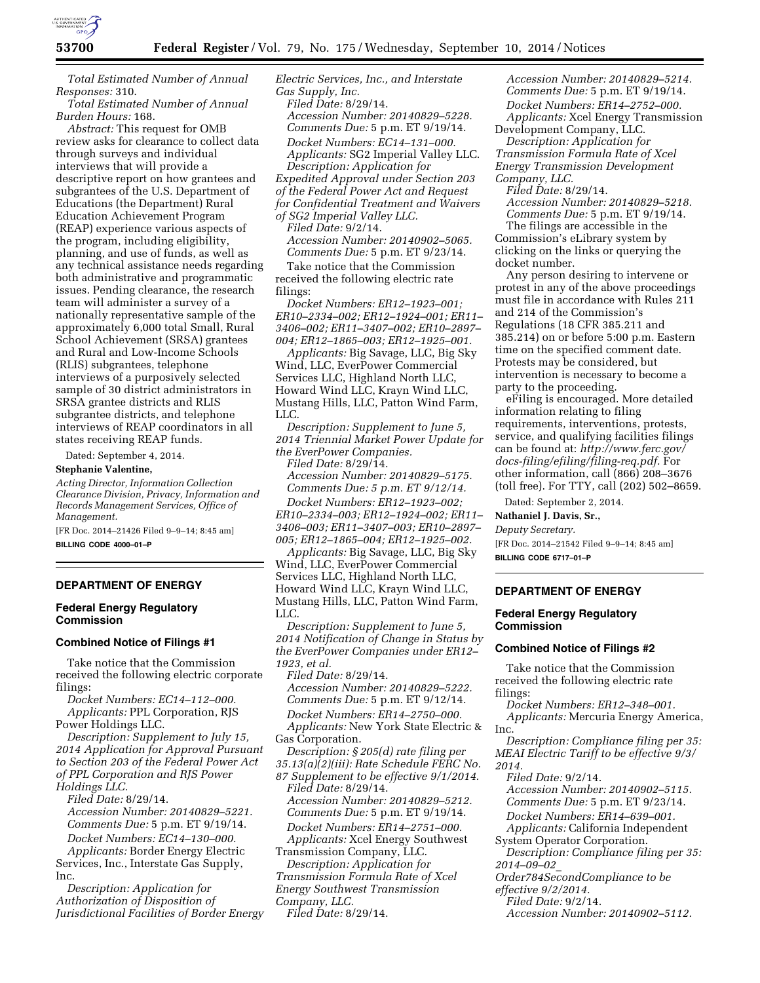

*Total Estimated Number of Annual Responses:* 310.

*Total Estimated Number of Annual Burden Hours:* 168.

*Abstract:* This request for OMB review asks for clearance to collect data through surveys and individual interviews that will provide a descriptive report on how grantees and subgrantees of the U.S. Department of Educations (the Department) Rural Education Achievement Program (REAP) experience various aspects of the program, including eligibility, planning, and use of funds, as well as any technical assistance needs regarding both administrative and programmatic issues. Pending clearance, the research team will administer a survey of a nationally representative sample of the approximately 6,000 total Small, Rural School Achievement (SRSA) grantees and Rural and Low-Income Schools (RLIS) subgrantees, telephone interviews of a purposively selected sample of 30 district administrators in SRSA grantee districts and RLIS subgrantee districts, and telephone interviews of REAP coordinators in all states receiving REAP funds.

Dated: September 4, 2014.

# **Stephanie Valentine,**

*Acting Director, Information Collection Clearance Division, Privacy, Information and Records Management Services, Office of Management.* 

[FR Doc. 2014–21426 Filed 9–9–14; 8:45 am] **BILLING CODE 4000–01–P** 

### **DEPARTMENT OF ENERGY**

### **Federal Energy Regulatory Commission**

## **Combined Notice of Filings #1**

Take notice that the Commission received the following electric corporate filings:

*Docket Numbers: EC14–112–000. Applicants:* PPL Corporation, RJS Power Holdings LLC.

*Description: Supplement to July 15, 2014 Application for Approval Pursuant to Section 203 of the Federal Power Act of PPL Corporation and RJS Power Holdings LLC.* 

*Filed Date:* 8/29/14.

*Accession Number: 20140829–5221. Comments Due:* 5 p.m. ET 9/19/14.

*Docket Numbers: EC14–130–000. Applicants:* Border Energy Electric Services, Inc., Interstate Gas Supply, Inc.

*Description: Application for Authorization of Disposition of Jurisdictional Facilities of Border Energy*  *Electric Services, Inc., and Interstate Gas Supply, Inc. Filed Date:* 8/29/14. *Accession Number: 20140829–5228. Comments Due:* 5 p.m. ET 9/19/14. *Docket Numbers: EC14–131–000. Applicants:* SG2 Imperial Valley LLC. *Description: Application for Expedited Approval under Section 203 of the Federal Power Act and Request for Confidential Treatment and Waivers* 

*of SG2 Imperial Valley LLC.* 

*Filed Date:* 9/2/14. *Accession Number: 20140902–5065. Comments Due:* 5 p.m. ET 9/23/14.

Take notice that the Commission received the following electric rate filings:

*Docket Numbers: ER12–1923–001; ER10–2334–002; ER12–1924–001; ER11– 3406–002; ER11–3407–002; ER10–2897– 004; ER12–1865–003; ER12–1925–001.* 

*Applicants:* Big Savage, LLC, Big Sky Wind, LLC, EverPower Commercial Services LLC, Highland North LLC, Howard Wind LLC, Krayn Wind LLC, Mustang Hills, LLC, Patton Wind Farm, LLC.

*Description: Supplement to June 5, 2014 Triennial Market Power Update for the EverPower Companies. Filed Date:* 8/29/14.

*Accession Number: 20140829–5175. Comments Due: 5 p.m. ET 9/12/14.* 

*Docket Numbers: ER12–1923–002; ER10–2334–003; ER12–1924–002; ER11– 3406–003; ER11–3407–003; ER10–2897– 005; ER12–1865–004; ER12–1925–002.* 

*Applicants:* Big Savage, LLC, Big Sky Wind, LLC, EverPower Commercial Services LLC, Highland North LLC, Howard Wind LLC, Krayn Wind LLC, Mustang Hills, LLC, Patton Wind Farm, LLC.

*Description: Supplement to June 5, 2014 Notification of Change in Status by the EverPower Companies under ER12– 1923, et al.* 

*Filed Date:* 8/29/14. *Accession Number: 20140829–5222. Comments Due:* 5 p.m. ET 9/12/14. *Docket Numbers: ER14–2750–000.* 

*Applicants:* New York State Electric & Gas Corporation.

*Description: § 205(d) rate filing per 35.13(a)(2)(iii): Rate Schedule FERC No. 87 Supplement to be effective 9/1/2014.* 

*Filed Date:* 8/29/14. *Accession Number: 20140829–5212. Comments Due:* 5 p.m. ET 9/19/14. *Docket Numbers: ER14–2751–000.* 

*Applicants:* Xcel Energy Southwest Transmission Company, LLC.

*Description: Application for Transmission Formula Rate of Xcel Energy Southwest Transmission Company, LLC.* 

*Filed Date:* 8/29/14.

*Accession Number: 20140829–5214. Comments Due:* 5 p.m. ET 9/19/14. *Docket Numbers: ER14–2752–000. Applicants:* Xcel Energy Transmission Development Company, LLC.

*Description: Application for Transmission Formula Rate of Xcel Energy Transmission Development Company, LLC.* 

*Filed Date:* 8/29/14.

*Accession Number: 20140829–5218. Comments Due:* 5 p.m. ET 9/19/14.

The filings are accessible in the Commission's eLibrary system by clicking on the links or querying the docket number.

Any person desiring to intervene or protest in any of the above proceedings must file in accordance with Rules 211 and 214 of the Commission's Regulations (18 CFR 385.211 and 385.214) on or before 5:00 p.m. Eastern time on the specified comment date. Protests may be considered, but intervention is necessary to become a party to the proceeding.

eFiling is encouraged. More detailed information relating to filing requirements, interventions, protests, service, and qualifying facilities filings can be found at: *[http://www.ferc.gov/](http://www.ferc.gov/docs-filing/efiling/filing-req.pdf) [docs-filing/efiling/filing-req.pdf.](http://www.ferc.gov/docs-filing/efiling/filing-req.pdf)* For other information, call (866) 208–3676 (toll free). For TTY, call (202) 502–8659.

Dated: September 2, 2014.

# **Nathaniel J. Davis, Sr.,**

*Deputy Secretary.* 

[FR Doc. 2014–21542 Filed 9–9–14; 8:45 am] **BILLING CODE 6717–01–P** 

#### **DEPARTMENT OF ENERGY**

#### **Federal Energy Regulatory Commission**

## **Combined Notice of Filings #2**

Take notice that the Commission received the following electric rate filings:

*Docket Numbers: ER12–348–001. Applicants:* Mercuria Energy America, Inc.

*Description: Compliance filing per 35: MEAI Electric Tariff to be effective 9/3/ 2014.* 

*Filed Date:* 9/2/14.

*Accession Number: 20140902–5115. Comments Due:* 5 p.m. ET 9/23/14.

*Docket Numbers: ER14–639–001.* 

*Applicants:* California Independent

System Operator Corporation. *Description: Compliance filing per 35: 2014–09–02*\_

*Order784SecondCompliance to be* 

*effective 9/2/2014.* 

*Filed Date:* 9/2/14.

*Accession Number: 20140902–5112.*